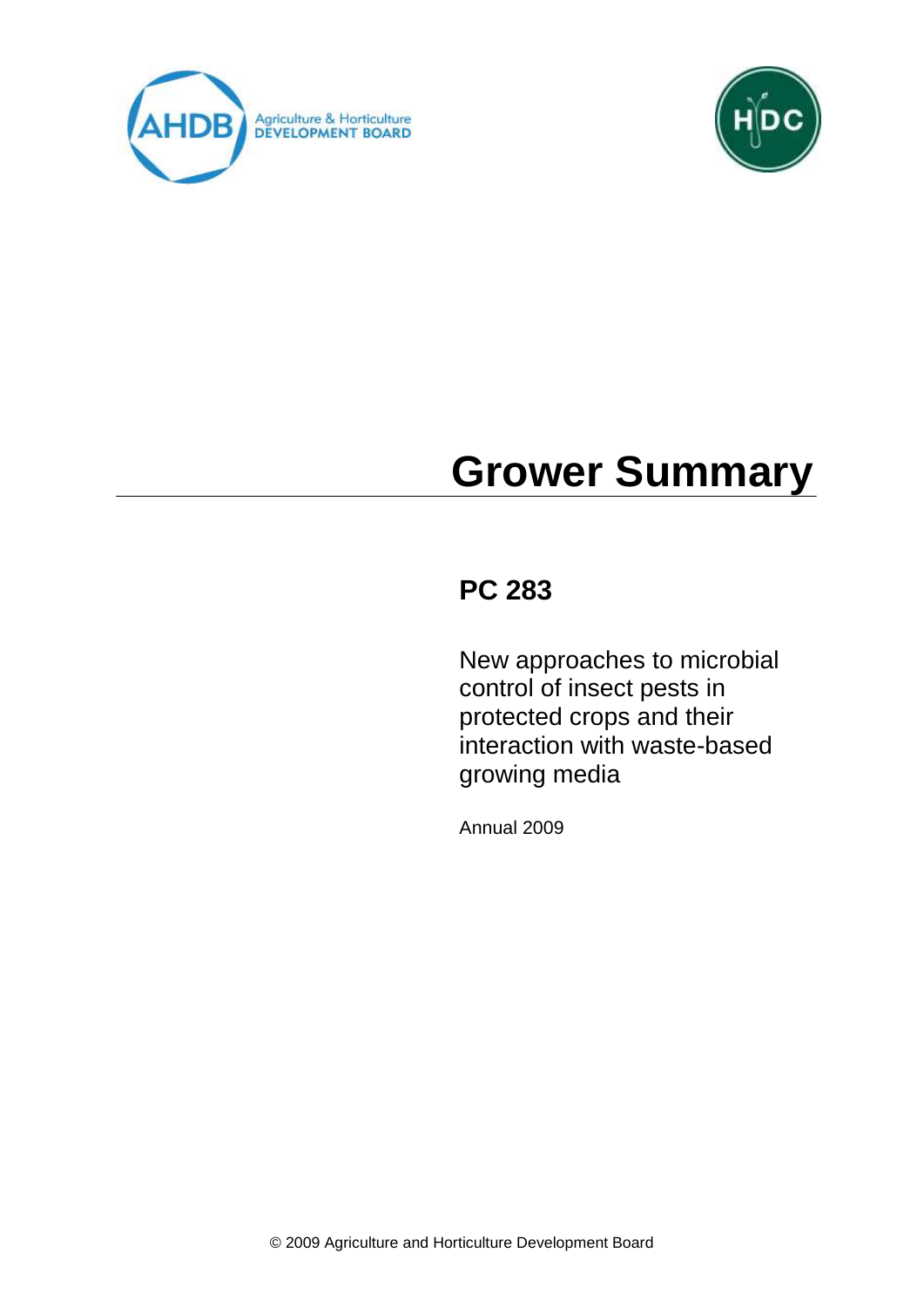



# **Grower Summary**

# **PC 283**

New approaches to microbial control of insect pests in protected crops and their interaction with waste-based growing media

Annual 2009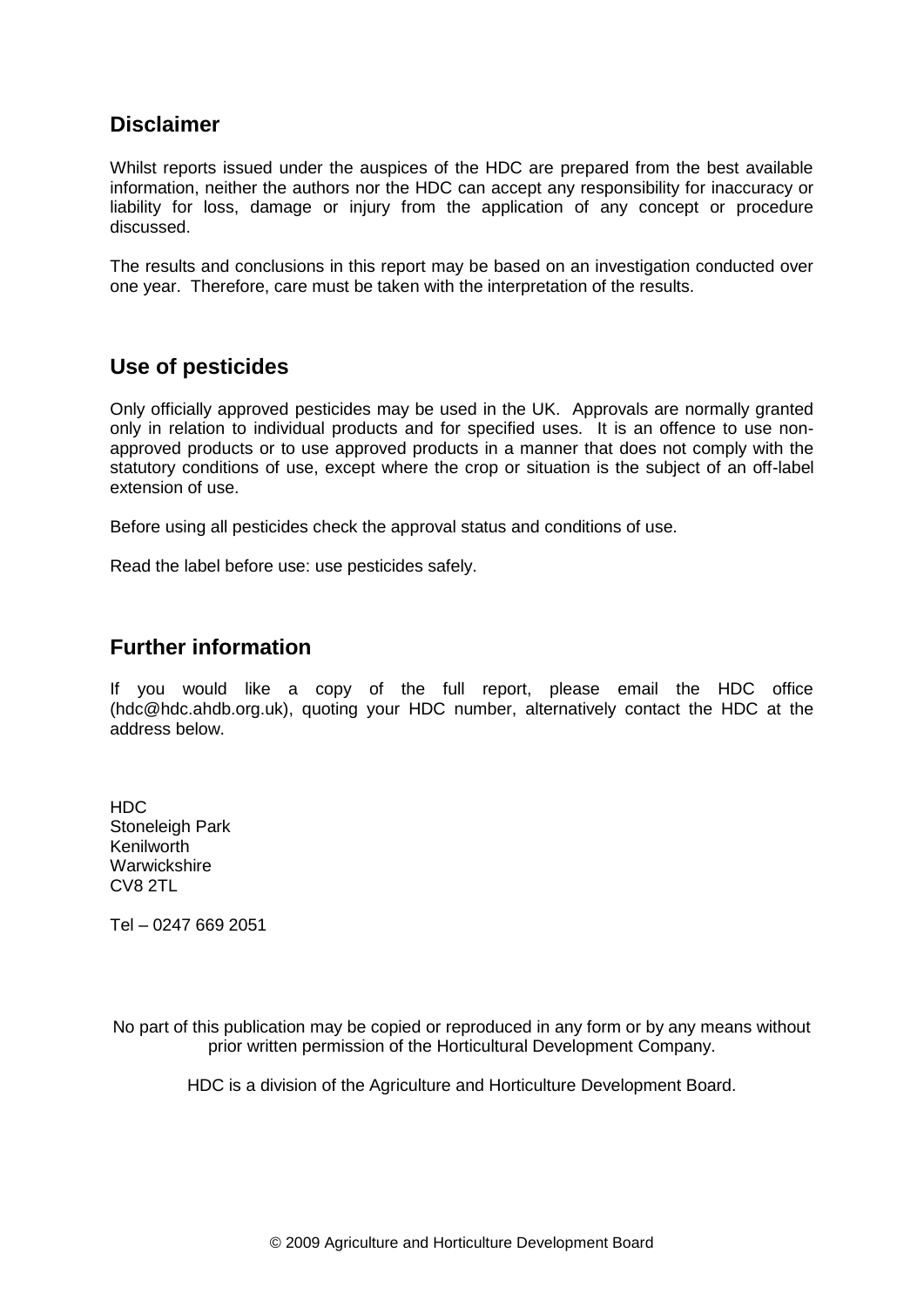# **Disclaimer**

Whilst reports issued under the auspices of the HDC are prepared from the best available information, neither the authors nor the HDC can accept any responsibility for inaccuracy or liability for loss, damage or injury from the application of any concept or procedure discussed.

The results and conclusions in this report may be based on an investigation conducted over one year. Therefore, care must be taken with the interpretation of the results.

# **Use of pesticides**

Only officially approved pesticides may be used in the UK. Approvals are normally granted only in relation to individual products and for specified uses. It is an offence to use nonapproved products or to use approved products in a manner that does not comply with the statutory conditions of use, except where the crop or situation is the subject of an off-label extension of use.

Before using all pesticides check the approval status and conditions of use.

Read the label before use: use pesticides safely.

# **Further information**

If you would like a copy of the full report, please email the HDC office (hdc@hdc.ahdb.org.uk), quoting your HDC number, alternatively contact the HDC at the address below.

HDC Stoneleigh Park Kenilworth Warwickshire CV8 2TL

Tel – 0247 669 2051

No part of this publication may be copied or reproduced in any form or by any means without prior written permission of the Horticultural Development Company.

HDC is a division of the Agriculture and Horticulture Development Board.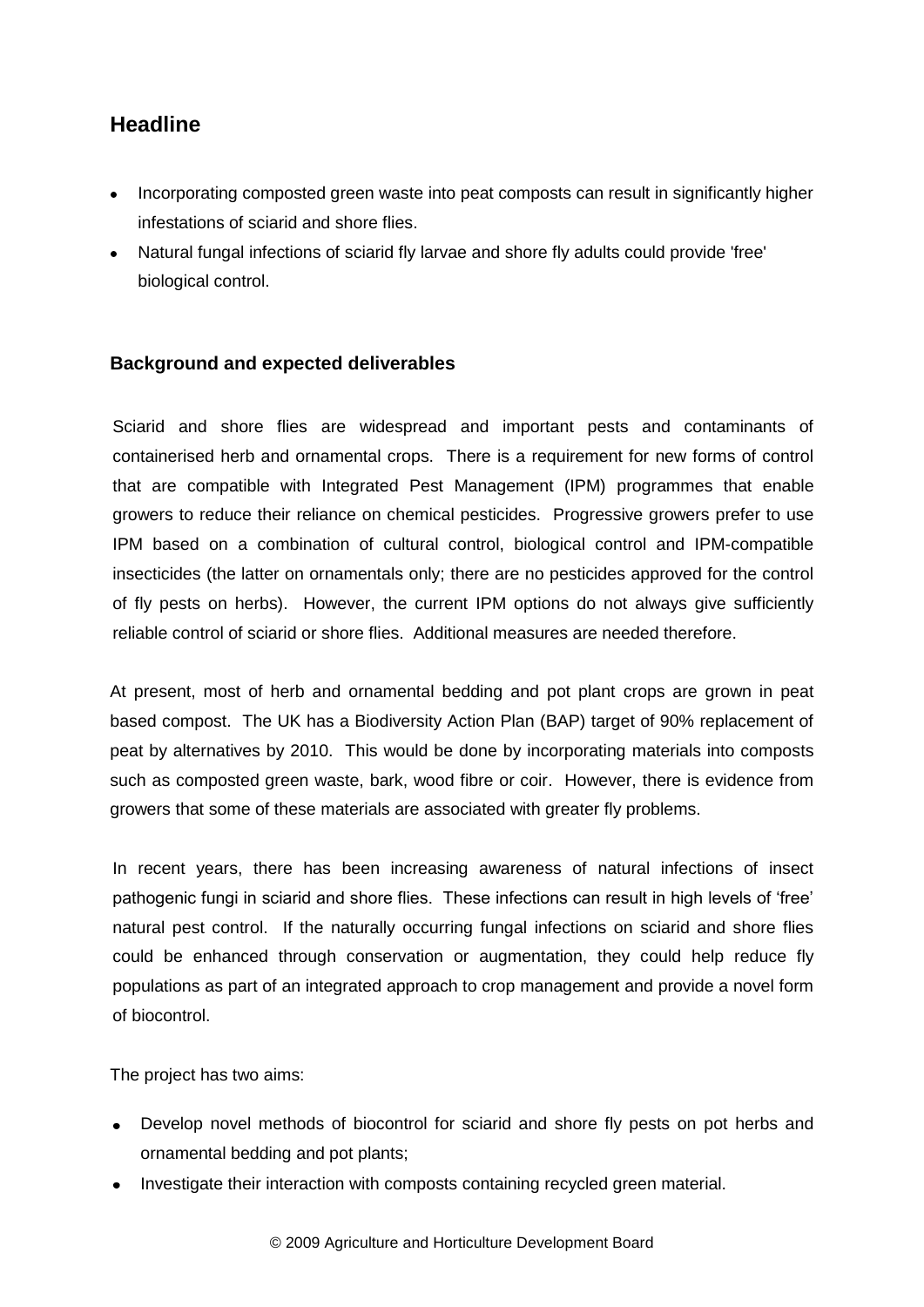# **Headline**

- Incorporating composted green waste into peat composts can result in significantly higher infestations of sciarid and shore flies.
- Natural fungal infections of sciarid fly larvae and shore fly adults could provide 'free' biological control.

#### **Background and expected deliverables**

Sciarid and shore flies are widespread and important pests and contaminants of containerised herb and ornamental crops. There is a requirement for new forms of control that are compatible with Integrated Pest Management (IPM) programmes that enable growers to reduce their reliance on chemical pesticides. Progressive growers prefer to use IPM based on a combination of cultural control, biological control and IPM-compatible insecticides (the latter on ornamentals only; there are no pesticides approved for the control of fly pests on herbs). However, the current IPM options do not always give sufficiently reliable control of sciarid or shore flies. Additional measures are needed therefore.

At present, most of herb and ornamental bedding and pot plant crops are grown in peat based compost. The UK has a Biodiversity Action Plan (BAP) target of 90% replacement of peat by alternatives by 2010. This would be done by incorporating materials into composts such as composted green waste, bark, wood fibre or coir. However, there is evidence from growers that some of these materials are associated with greater fly problems.

In recent years, there has been increasing awareness of natural infections of insect pathogenic fungi in sciarid and shore flies. These infections can result in high levels of 'free' natural pest control. If the naturally occurring fungal infections on sciarid and shore flies could be enhanced through conservation or augmentation, they could help reduce fly populations as part of an integrated approach to crop management and provide a novel form of biocontrol.

The project has two aims:

- Develop novel methods of biocontrol for sciarid and shore fly pests on pot herbs and ornamental bedding and pot plants;
- Investigate their interaction with composts containing recycled green material.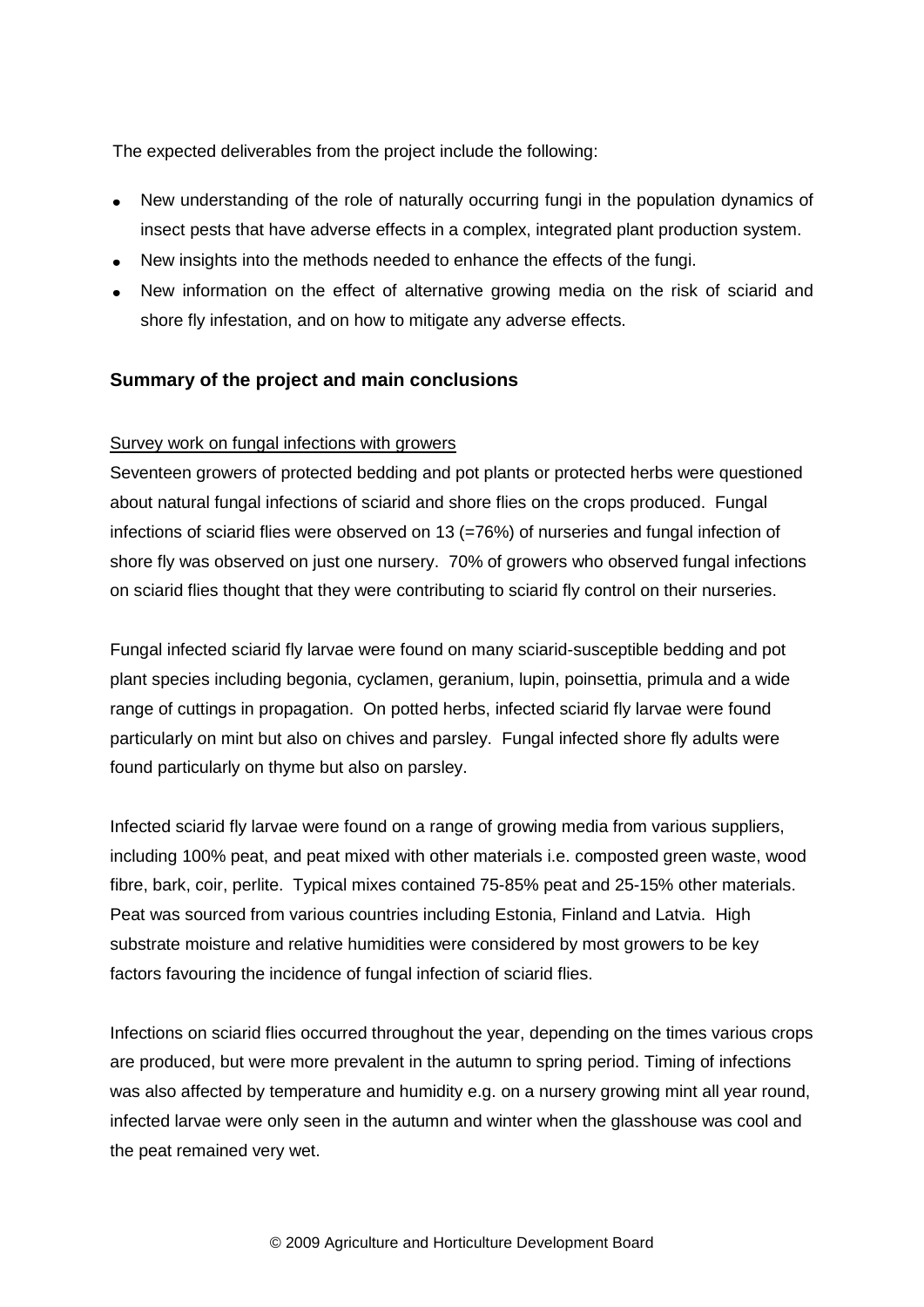The expected deliverables from the project include the following:

- New understanding of the role of naturally occurring fungi in the population dynamics of insect pests that have adverse effects in a complex, integrated plant production system.
- New insights into the methods needed to enhance the effects of the fungi.
- New information on the effect of alternative growing media on the risk of sciarid and shore fly infestation, and on how to mitigate any adverse effects.

## **Summary of the project and main conclusions**

#### Survey work on fungal infections with growers

Seventeen growers of protected bedding and pot plants or protected herbs were questioned about natural fungal infections of sciarid and shore flies on the crops produced. Fungal infections of sciarid flies were observed on 13 (=76%) of nurseries and fungal infection of shore fly was observed on just one nursery. 70% of growers who observed fungal infections on sciarid flies thought that they were contributing to sciarid fly control on their nurseries.

Fungal infected sciarid fly larvae were found on many sciarid-susceptible bedding and pot plant species including begonia, cyclamen, geranium, lupin, poinsettia, primula and a wide range of cuttings in propagation. On potted herbs, infected sciarid fly larvae were found particularly on mint but also on chives and parsley. Fungal infected shore fly adults were found particularly on thyme but also on parsley.

Infected sciarid fly larvae were found on a range of growing media from various suppliers, including 100% peat, and peat mixed with other materials i.e. composted green waste, wood fibre, bark, coir, perlite. Typical mixes contained 75-85% peat and 25-15% other materials. Peat was sourced from various countries including Estonia, Finland and Latvia. High substrate moisture and relative humidities were considered by most growers to be key factors favouring the incidence of fungal infection of sciarid flies.

Infections on sciarid flies occurred throughout the year, depending on the times various crops are produced, but were more prevalent in the autumn to spring period. Timing of infections was also affected by temperature and humidity e.g. on a nursery growing mint all year round, infected larvae were only seen in the autumn and winter when the glasshouse was cool and the peat remained very wet.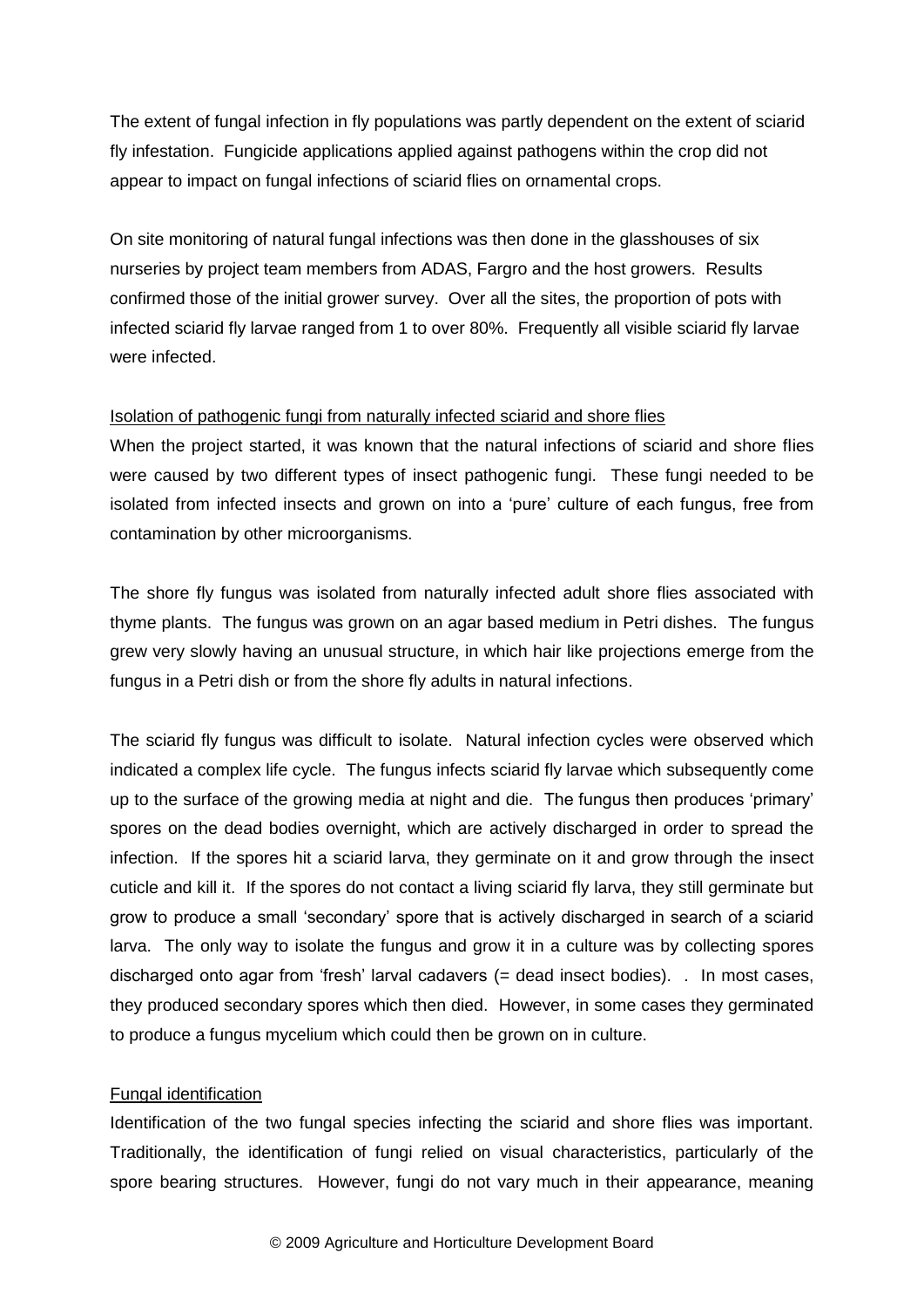The extent of fungal infection in fly populations was partly dependent on the extent of sciarid fly infestation. Fungicide applications applied against pathogens within the crop did not appear to impact on fungal infections of sciarid flies on ornamental crops.

On site monitoring of natural fungal infections was then done in the glasshouses of six nurseries by project team members from ADAS, Fargro and the host growers. Results confirmed those of the initial grower survey. Over all the sites, the proportion of pots with infected sciarid fly larvae ranged from 1 to over 80%. Frequently all visible sciarid fly larvae were infected.

#### Isolation of pathogenic fungi from naturally infected sciarid and shore flies

When the project started, it was known that the natural infections of sciarid and shore flies were caused by two different types of insect pathogenic fungi. These fungi needed to be isolated from infected insects and grown on into a 'pure' culture of each fungus, free from contamination by other microorganisms.

The shore fly fungus was isolated from naturally infected adult shore flies associated with thyme plants. The fungus was grown on an agar based medium in Petri dishes. The fungus grew very slowly having an unusual structure, in which hair like projections emerge from the fungus in a Petri dish or from the shore fly adults in natural infections.

The sciarid fly fungus was difficult to isolate. Natural infection cycles were observed which indicated a complex life cycle. The fungus infects sciarid fly larvae which subsequently come up to the surface of the growing media at night and die. The fungus then produces 'primary' spores on the dead bodies overnight, which are actively discharged in order to spread the infection. If the spores hit a sciarid larva, they germinate on it and grow through the insect cuticle and kill it. If the spores do not contact a living sciarid fly larva, they still germinate but grow to produce a small 'secondary' spore that is actively discharged in search of a sciarid larva. The only way to isolate the fungus and grow it in a culture was by collecting spores discharged onto agar from 'fresh' larval cadavers (= dead insect bodies). . In most cases, they produced secondary spores which then died. However, in some cases they germinated to produce a fungus mycelium which could then be grown on in culture.

#### Fungal identification

Identification of the two fungal species infecting the sciarid and shore flies was important. Traditionally, the identification of fungi relied on visual characteristics, particularly of the spore bearing structures. However, fungi do not vary much in their appearance, meaning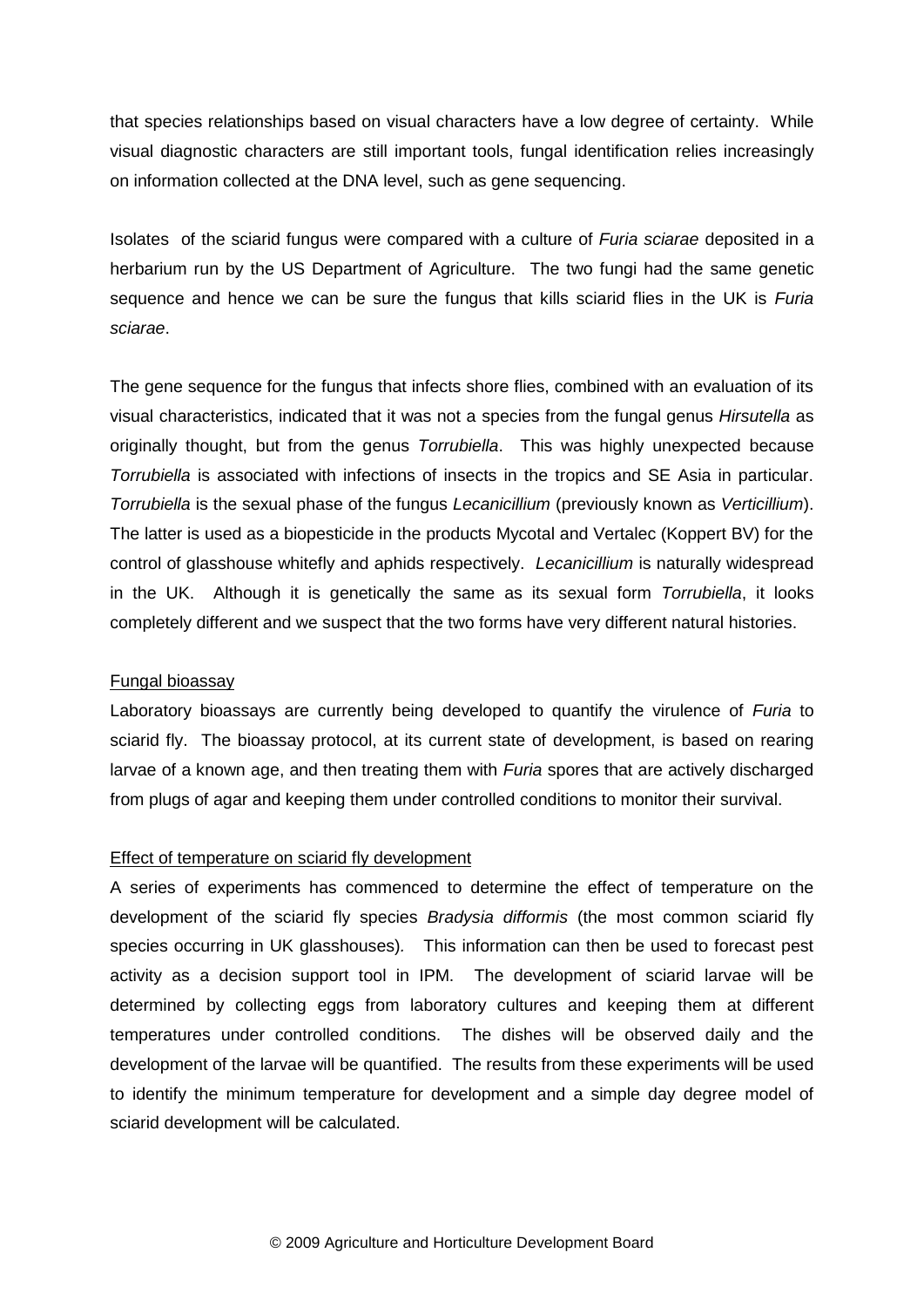that species relationships based on visual characters have a low degree of certainty. While visual diagnostic characters are still important tools, fungal identification relies increasingly on information collected at the DNA level, such as gene sequencing.

Isolates of the sciarid fungus were compared with a culture of *Furia sciarae* deposited in a herbarium run by the US Department of Agriculture. The two fungi had the same genetic sequence and hence we can be sure the fungus that kills sciarid flies in the UK is *Furia sciarae*.

The gene sequence for the fungus that infects shore flies, combined with an evaluation of its visual characteristics, indicated that it was not a species from the fungal genus *Hirsutella* as originally thought, but from the genus *Torrubiella*. This was highly unexpected because *Torrubiella* is associated with infections of insects in the tropics and SE Asia in particular. *Torrubiella* is the sexual phase of the fungus *Lecanicillium* (previously known as *Verticillium*). The latter is used as a biopesticide in the products Mycotal and Vertalec (Koppert BV) for the control of glasshouse whitefly and aphids respectively. *Lecanicillium* is naturally widespread in the UK. Although it is genetically the same as its sexual form *Torrubiella*, it looks completely different and we suspect that the two forms have very different natural histories.

#### Fungal bioassay

Laboratory bioassays are currently being developed to quantify the virulence of *Furia* to sciarid fly. The bioassay protocol, at its current state of development, is based on rearing larvae of a known age, and then treating them with *Furia* spores that are actively discharged from plugs of agar and keeping them under controlled conditions to monitor their survival.

#### Effect of temperature on sciarid fly development

A series of experiments has commenced to determine the effect of temperature on the development of the sciarid fly species *Bradysia difformis* (the most common sciarid fly species occurring in UK glasshouses)*.* This information can then be used to forecast pest activity as a decision support tool in IPM. The development of sciarid larvae will be determined by collecting eggs from laboratory cultures and keeping them at different temperatures under controlled conditions. The dishes will be observed daily and the development of the larvae will be quantified. The results from these experiments will be used to identify the minimum temperature for development and a simple day degree model of sciarid development will be calculated.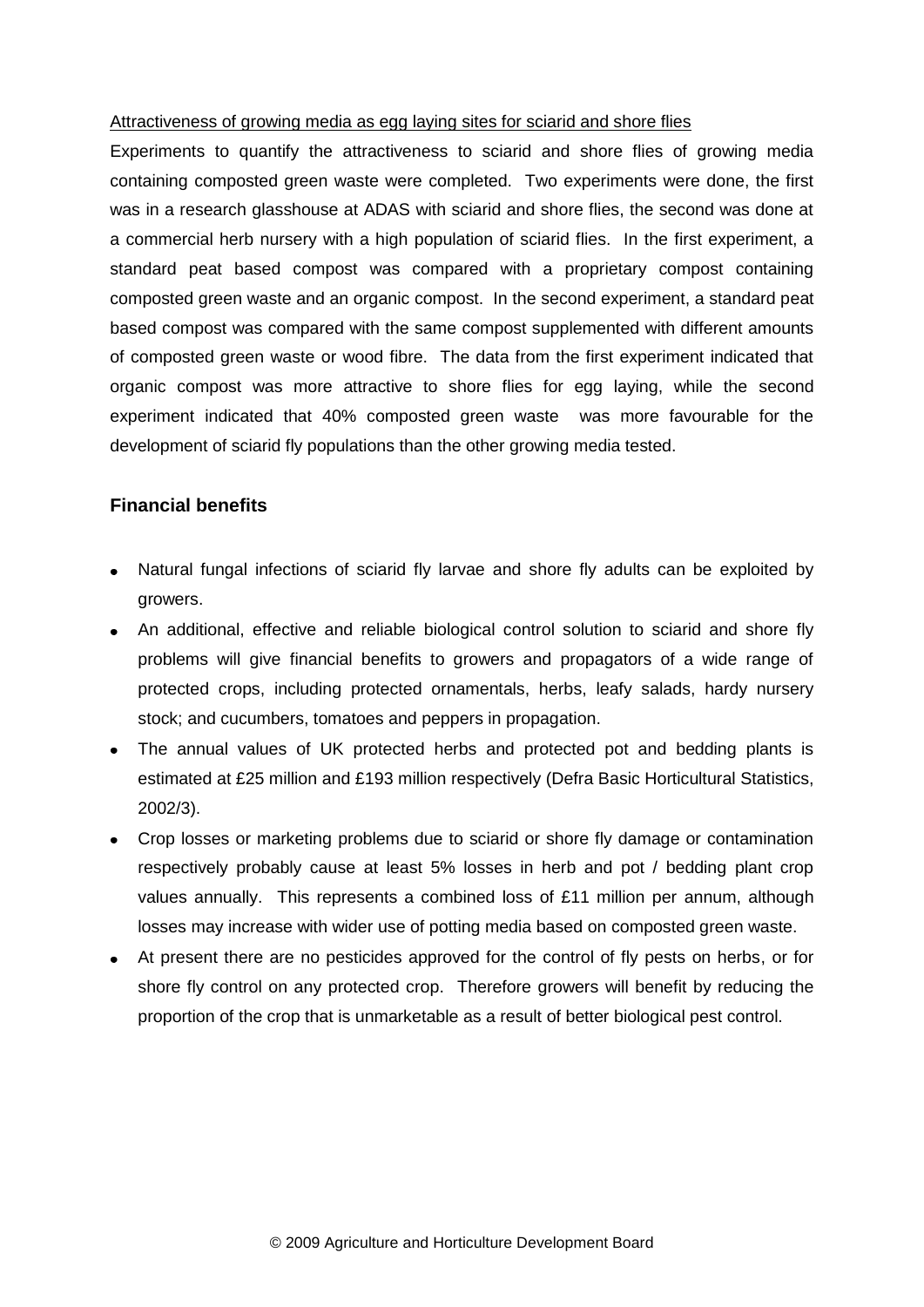#### Attractiveness of growing media as egg laying sites for sciarid and shore flies

Experiments to quantify the attractiveness to sciarid and shore flies of growing media containing composted green waste were completed. Two experiments were done, the first was in a research glasshouse at ADAS with sciarid and shore flies, the second was done at a commercial herb nursery with a high population of sciarid flies. In the first experiment, a standard peat based compost was compared with a proprietary compost containing composted green waste and an organic compost. In the second experiment, a standard peat based compost was compared with the same compost supplemented with different amounts of composted green waste or wood fibre. The data from the first experiment indicated that organic compost was more attractive to shore flies for egg laying, while the second experiment indicated that 40% composted green waste was more favourable for the development of sciarid fly populations than the other growing media tested.

#### **Financial benefits**

- Natural fungal infections of sciarid fly larvae and shore fly adults can be exploited by growers.
- An additional, effective and reliable biological control solution to sciarid and shore fly problems will give financial benefits to growers and propagators of a wide range of protected crops, including protected ornamentals, herbs, leafy salads, hardy nursery stock; and cucumbers, tomatoes and peppers in propagation.
- The annual values of UK protected herbs and protected pot and bedding plants is estimated at £25 million and £193 million respectively (Defra Basic Horticultural Statistics, 2002/3).
- Crop losses or marketing problems due to sciarid or shore fly damage or contamination respectively probably cause at least 5% losses in herb and pot / bedding plant crop values annually. This represents a combined loss of £11 million per annum, although losses may increase with wider use of potting media based on composted green waste.
- At present there are no pesticides approved for the control of fly pests on herbs, or for shore fly control on any protected crop. Therefore growers will benefit by reducing the proportion of the crop that is unmarketable as a result of better biological pest control.